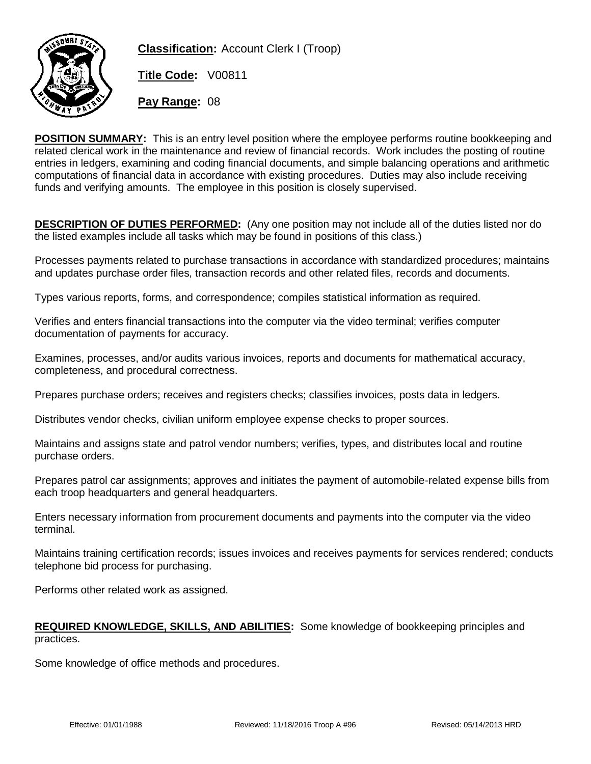

**Classification:** Account Clerk I (Troop)

**Title Code:** V00811

**Pay Range:** 08

**POSITION SUMMARY:** This is an entry level position where the employee performs routine bookkeeping and related clerical work in the maintenance and review of financial records. Work includes the posting of routine entries in ledgers, examining and coding financial documents, and simple balancing operations and arithmetic computations of financial data in accordance with existing procedures. Duties may also include receiving funds and verifying amounts. The employee in this position is closely supervised.

**DESCRIPTION OF DUTIES PERFORMED:** (Any one position may not include all of the duties listed nor do the listed examples include all tasks which may be found in positions of this class.)

Processes payments related to purchase transactions in accordance with standardized procedures; maintains and updates purchase order files, transaction records and other related files, records and documents.

Types various reports, forms, and correspondence; compiles statistical information as required.

Verifies and enters financial transactions into the computer via the video terminal; verifies computer documentation of payments for accuracy.

Examines, processes, and/or audits various invoices, reports and documents for mathematical accuracy, completeness, and procedural correctness.

Prepares purchase orders; receives and registers checks; classifies invoices, posts data in ledgers.

Distributes vendor checks, civilian uniform employee expense checks to proper sources.

Maintains and assigns state and patrol vendor numbers; verifies, types, and distributes local and routine purchase orders.

Prepares patrol car assignments; approves and initiates the payment of automobile-related expense bills from each troop headquarters and general headquarters.

Enters necessary information from procurement documents and payments into the computer via the video terminal.

Maintains training certification records; issues invoices and receives payments for services rendered; conducts telephone bid process for purchasing.

Performs other related work as assigned.

## **REQUIRED KNOWLEDGE, SKILLS, AND ABILITIES:** Some knowledge of bookkeeping principles and practices.

Some knowledge of office methods and procedures.